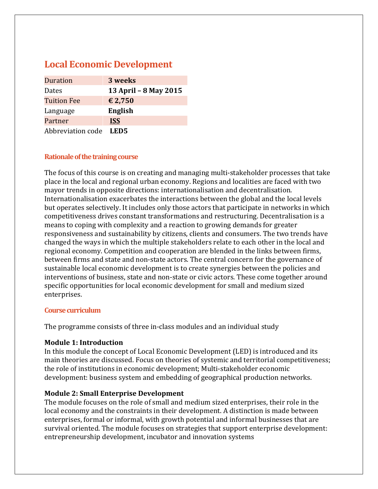# **Local Economic Development**

| Duration           | 3 weeks               |
|--------------------|-----------------------|
| Dates              | 13 April - 8 May 2015 |
| <b>Tuition Fee</b> | € 2,750               |
| Language           | English               |
| Partner            | <b>ISS</b>            |
| Abbreviation code  | LED5                  |

## **Rationale of the training course**

The focus of this course is on creating and managing multi-stakeholder processes that take place in the local and regional urban economy. Regions and localities are faced with two mayor trends in opposite directions: internationalisation and decentralisation. Internationalisation exacerbates the interactions between the global and the local levels but operates selectively. It includes only those actors that participate in networks in which competitiveness drives constant transformations and restructuring. Decentralisation is a means to coping with complexity and a reaction to growing demands for greater responsiveness and sustainability by citizens, clients and consumers. The two trends have changed the ways in which the multiple stakeholders relate to each other in the local and regional economy. Competition and cooperation are blended in the links between firms, between firms and state and non‐state actors. The central concern for the governance of sustainable local economic development is to create synergies between the policies and interventions of business, state and non-state or civic actors. These come together around specific opportunities for local economic development for small and medium sized enterprises.

#### **Coursecurriculum**

The programme consists of three in-class modules and an individual study

# **Module 1: Introduction**

In this module the concept of Local Economic Development (LED) is introduced and its main theories are discussed. Focus on theories of systemic and territorial competitiveness; the role of institutions in economic development; Multi‐stakeholder economic development: business system and embedding of geographical production networks.

# **Module 2: Small Enterprise Development**

The module focuses on the role of small and medium sized enterprises, their role in the local economy and the constraints in their development. A distinction is made between enterprises, formal or informal, with growth potential and informal businesses that are survival oriented. The module focuses on strategies that support enterprise development: entrepreneurship development, incubator and innovation systems